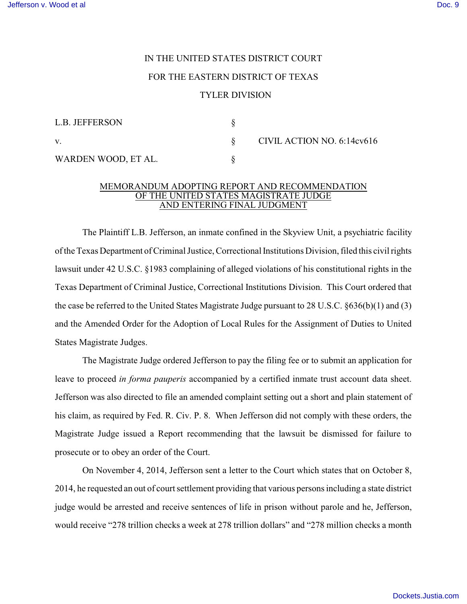## IN THE UNITED STATES DISTRICT COURT FOR THE EASTERN DISTRICT OF TEXAS TYLER DIVISION

| L.B. JEFFERSON      |  |
|---------------------|--|
| V                   |  |
| WARDEN WOOD, ET AL. |  |

VIL ACTION NO. 6:14cv616

## MEMORANDUM ADOPTING REPORT AND RECOMMENDATION OF THE UNITED STATES MAGISTRATE JUDGE **AND ENTERING FINAL JUDGMENT**

The Plaintiff L.B. Jefferson, an inmate confined in the Skyview Unit, a psychiatric facility of the Texas Department of Criminal Justice, Correctional Institutions Division, filed this civil rights lawsuit under 42 U.S.C. §1983 complaining of alleged violations of his constitutional rights in the Texas Department of Criminal Justice, Correctional Institutions Division. This Court ordered that the case be referred to the United States Magistrate Judge pursuant to 28 U.S.C. §636(b)(1) and (3) and the Amended Order for the Adoption of Local Rules for the Assignment of Duties to United States Magistrate Judges.

 The Magistrate Judge ordered Jefferson to pay the filing fee or to submit an application for leave to proceed *in forma pauperis* accompanied by a certified inmate trust account data sheet. Jefferson was also directed to file an amended complaint setting out a short and plain statement of his claim, as required by Fed. R. Civ. P. 8. When Jefferson did not comply with these orders, the Magistrate Judge issued a Report recommending that the lawsuit be dismissed for failure to prosecute or to obey an order of the Court.

On November 4, 2014, Jefferson sent a letter to the Court which states that on October 8, 2014, he requested an out of court settlement providing that various persons including a state district judge would be arrested and receive sentences of life in prison without parole and he, Jefferson, would receive "278 trillion checks a week at 278 trillion dollars" and "278 million checks a month